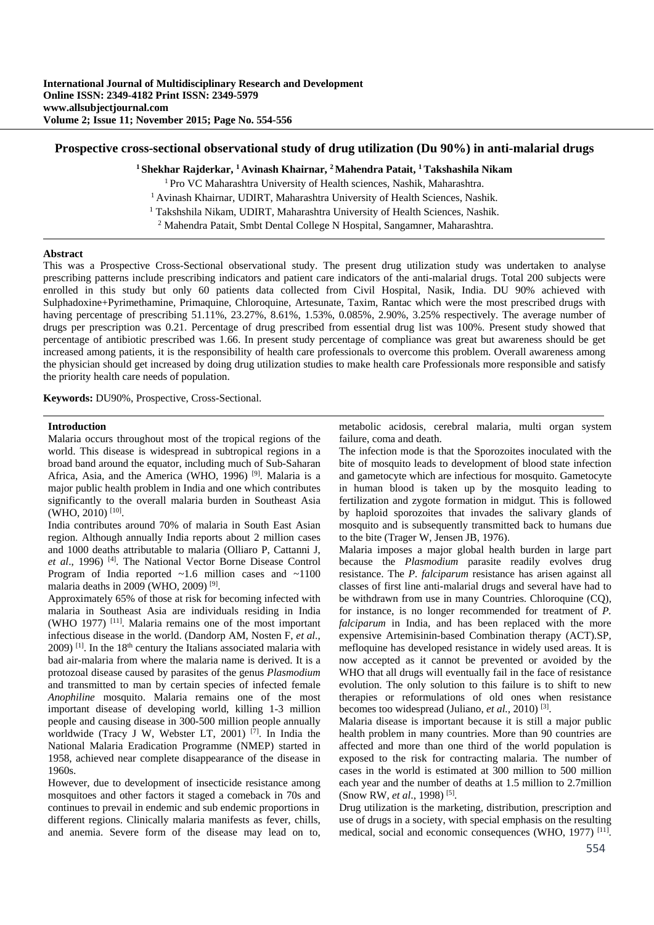#### **Prospective cross-sectional observational study of drug utilization (Du 90%) in anti-malarial drugs**

**1 Shekhar Rajderkar, 1 Avinash Khairnar, 2 Mahendra Patait, 1 Takshashila Nikam** 

<sup>1</sup> Pro VC Maharashtra University of Health sciences, Nashik, Maharashtra.<br><sup>1</sup> Avinash Khairnar, UDIRT, Maharashtra University of Health Sciences, Nashik.

<sup>1</sup> Takshshila Nikam, UDIRT, Maharashtra University of Health Sciences, Nashik.

<sup>2</sup> Mahendra Patait, Smbt Dental College N Hospital, Sangamner, Maharashtra.

#### **Abstract**

This was a Prospective Cross-Sectional observational study. The present drug utilization study was undertaken to analyse prescribing patterns include prescribing indicators and patient care indicators of the anti-malarial drugs. Total 200 subjects were enrolled in this study but only 60 patients data collected from Civil Hospital, Nasik, India. DU 90% achieved with Sulphadoxine+Pyrimethamine, Primaquine, Chloroquine, Artesunate, Taxim, Rantac which were the most prescribed drugs with having percentage of prescribing 51.11%, 23.27%, 8.61%, 1.53%, 0.085%, 2.90%, 3.25% respectively. The average number of drugs per prescription was 0.21. Percentage of drug prescribed from essential drug list was 100%. Present study showed that percentage of antibiotic prescribed was 1.66. In present study percentage of compliance was great but awareness should be get increased among patients, it is the responsibility of health care professionals to overcome this problem. Overall awareness among the physician should get increased by doing drug utilization studies to make health care Professionals more responsible and satisfy the priority health care needs of population.

**Keywords:** DU90%, Prospective, Cross-Sectional.

### **Introduction**

Malaria occurs throughout most of the tropical regions of the world. This disease is widespread in subtropical regions in a broad band around the equator, including much of Sub-Saharan Africa, Asia, and the America (WHO, 1996)<sup>[9]</sup>. Malaria is a major public health problem in India and one which contributes significantly to the overall malaria burden in Southeast Asia (WHO, 2010) [10].

India contributes around 70% of malaria in South East Asian region. Although annually India reports about 2 million cases and 1000 deaths attributable to malaria (Olliaro P, Cattanni J, *et al*., 1996) [4]. The National Vector Borne Disease Control Program of India reported  $\sim$ 1.6 million cases and  $\sim$ 1100 malaria deaths in 2009 (WHO, 2009) [9].

Approximately 65% of those at risk for becoming infected with malaria in Southeast Asia are individuals residing in India (WHO 1977) [11]. Malaria remains one of the most important infectious disease in the world. (Dandorp AM, Nosten F, *et al*.,  $2009$ ) <sup>[1]</sup>. In the 18<sup>th</sup> century the Italians associated malaria with bad air-malaria from where the malaria name is derived. It is a protozoal disease caused by parasites of the genus *Plasmodium* and transmitted to man by certain species of infected female *Anophiline* mosquito. Malaria remains one of the most important disease of developing world, killing 1-3 million people and causing disease in 300-500 million people annually worldwide (Tracy J W, Webster LT, 2001) [7]. In India the National Malaria Eradication Programme (NMEP) started in 1958, achieved near complete disappearance of the disease in 1960s.

However, due to development of insecticide resistance among mosquitoes and other factors it staged a comeback in 70s and continues to prevail in endemic and sub endemic proportions in different regions. Clinically malaria manifests as fever, chills, and anemia. Severe form of the disease may lead on to,

metabolic acidosis, cerebral malaria, multi organ system failure, coma and death.

The infection mode is that the Sporozoites inoculated with the bite of mosquito leads to development of blood state infection and gametocyte which are infectious for mosquito. Gametocyte in human blood is taken up by the mosquito leading to fertilization and zygote formation in midgut. This is followed by haploid sporozoites that invades the salivary glands of mosquito and is subsequently transmitted back to humans due to the bite (Trager W, Jensen JB, 1976).

Malaria imposes a major global health burden in large part because the *Plasmodium* parasite readily evolves drug resistance. The *P. falciparum* resistance has arisen against all classes of first line anti-malarial drugs and several have had to be withdrawn from use in many Countries. Chloroquine (CQ), for instance, is no longer recommended for treatment of *P. falciparum* in India, and has been replaced with the more expensive Artemisinin-based Combination therapy (ACT).SP, mefloquine has developed resistance in widely used areas. It is now accepted as it cannot be prevented or avoided by the WHO that all drugs will eventually fail in the face of resistance evolution. The only solution to this failure is to shift to new therapies or reformulations of old ones when resistance becomes too widespread (Juliano, *et al.,* 2010) [3].

Malaria disease is important because it is still a major public health problem in many countries. More than 90 countries are affected and more than one third of the world population is exposed to the risk for contracting malaria. The number of cases in the world is estimated at 300 million to 500 million each year and the number of deaths at 1.5 million to 2.7million (Snow RW, *et al*., 1998) [5].

Drug utilization is the marketing, distribution, prescription and use of drugs in a society, with special emphasis on the resulting medical, social and economic consequences (WHO, 1977) [11].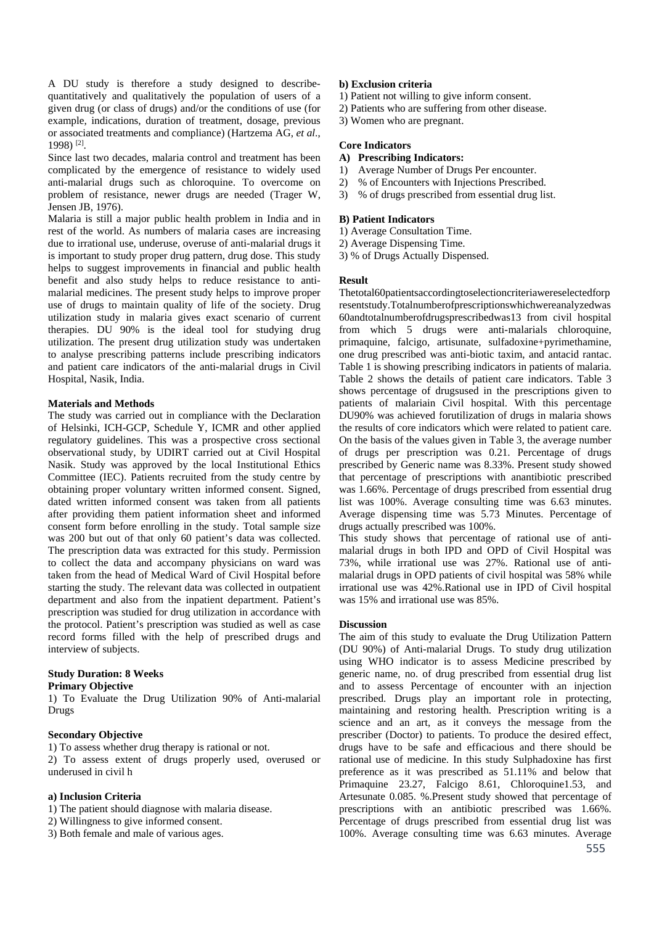A DU study is therefore a study designed to describequantitatively and qualitatively the population of users of a given drug (or class of drugs) and/or the conditions of use (for example, indications, duration of treatment, dosage, previous or associated treatments and compliance) (Hartzema AG, *et al*., 1998) [2].

Since last two decades, malaria control and treatment has been complicated by the emergence of resistance to widely used anti-malarial drugs such as chloroquine. To overcome on problem of resistance, newer drugs are needed (Trager W, Jensen JB, 1976).

Malaria is still a major public health problem in India and in rest of the world. As numbers of malaria cases are increasing due to irrational use, underuse, overuse of anti-malarial drugs it is important to study proper drug pattern, drug dose. This study helps to suggest improvements in financial and public health benefit and also study helps to reduce resistance to antimalarial medicines. The present study helps to improve proper use of drugs to maintain quality of life of the society. Drug utilization study in malaria gives exact scenario of current therapies. DU 90% is the ideal tool for studying drug utilization. The present drug utilization study was undertaken to analyse prescribing patterns include prescribing indicators and patient care indicators of the anti-malarial drugs in Civil Hospital, Nasik, India.

### **Materials and Methods**

The study was carried out in compliance with the Declaration of Helsinki, ICH-GCP, Schedule Y, ICMR and other applied regulatory guidelines. This was a prospective cross sectional observational study, by UDIRT carried out at Civil Hospital Nasik. Study was approved by the local Institutional Ethics Committee (IEC). Patients recruited from the study centre by obtaining proper voluntary written informed consent. Signed, dated written informed consent was taken from all patients after providing them patient information sheet and informed consent form before enrolling in the study. Total sample size was 200 but out of that only 60 patient's data was collected. The prescription data was extracted for this study. Permission to collect the data and accompany physicians on ward was taken from the head of Medical Ward of Civil Hospital before starting the study. The relevant data was collected in outpatient department and also from the inpatient department. Patient's prescription was studied for drug utilization in accordance with the protocol. Patient's prescription was studied as well as case record forms filled with the help of prescribed drugs and interview of subjects.

#### **Study Duration: 8 Weeks Primary Objective**

1) To Evaluate the Drug Utilization 90% of Anti-malarial Drugs

# **Secondary Objective**

1) To assess whether drug therapy is rational or not. 2) To assess extent of drugs properly used, overused or underused in civil h

# **a) Inclusion Criteria**

1) The patient should diagnose with malaria disease.

- 2) Willingness to give informed consent.
- 3) Both female and male of various ages.

# **b) Exclusion criteria**

- 1) Patient not willing to give inform consent.
- 2) Patients who are suffering from other disease.
- 3) Women who are pregnant.

# **Core Indicators**

# **A) Prescribing Indicators:**

- 1) Average Number of Drugs Per encounter.
- 2) % of Encounters with Injections Prescribed.
- 3) % of drugs prescribed from essential drug list.

### **B) Patient Indicators**

1) Average Consultation Time.

2) Average Dispensing Time.

3) % of Drugs Actually Dispensed.

### **Result**

Thetotal60patientsaccordingtoselectioncriteriawereselectedforp resentstudy.Totalnumberofprescriptionswhichwereanalyzedwas 60andtotalnumberofdrugsprescribedwas13 from civil hospital from which 5 drugs were anti-malarials chloroquine, primaquine, falcigo, artisunate, sulfadoxine+pyrimethamine, one drug prescribed was anti-biotic taxim, and antacid rantac. Table 1 is showing prescribing indicators in patients of malaria. Table 2 shows the details of patient care indicators. Table 3 shows percentage of drugsused in the prescriptions given to patients of malariain Civil hospital. With this percentage DU90% was achieved forutilization of drugs in malaria shows the results of core indicators which were related to patient care. On the basis of the values given in Table 3, the average number of drugs per prescription was 0.21. Percentage of drugs prescribed by Generic name was 8.33%. Present study showed that percentage of prescriptions with anantibiotic prescribed was 1.66%. Percentage of drugs prescribed from essential drug list was 100%. Average consulting time was 6.63 minutes. Average dispensing time was 5.73 Minutes. Percentage of drugs actually prescribed was 100%.

This study shows that percentage of rational use of antimalarial drugs in both IPD and OPD of Civil Hospital was 73%, while irrational use was 27%. Rational use of antimalarial drugs in OPD patients of civil hospital was 58% while irrational use was 42%.Rational use in IPD of Civil hospital was 15% and irrational use was 85%.

# **Discussion**

The aim of this study to evaluate the Drug Utilization Pattern (DU 90%) of Anti-malarial Drugs. To study drug utilization using WHO indicator is to assess Medicine prescribed by generic name, no. of drug prescribed from essential drug list and to assess Percentage of encounter with an injection prescribed. Drugs play an important role in protecting, maintaining and restoring health. Prescription writing is a science and an art, as it conveys the message from the prescriber (Doctor) to patients. To produce the desired effect, drugs have to be safe and efficacious and there should be rational use of medicine. In this study Sulphadoxine has first preference as it was prescribed as 51.11% and below that Primaquine 23.27, Falcigo 8.61, Chloroquine1.53, and Artesunate 0.085. %.Present study showed that percentage of prescriptions with an antibiotic prescribed was 1.66%. Percentage of drugs prescribed from essential drug list was 100%. Average consulting time was 6.63 minutes. Average